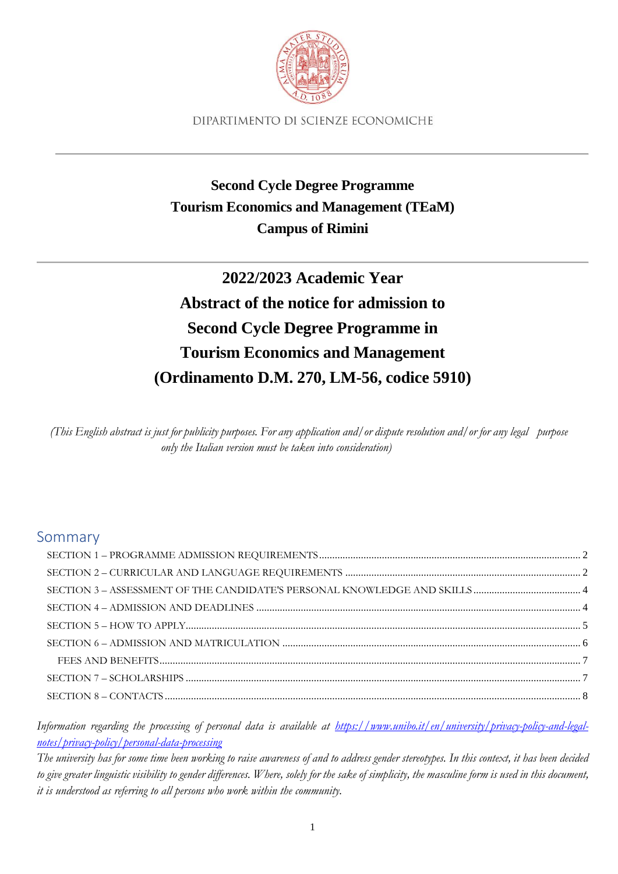

# **Second Cycle Degree Programme Tourism Economics and Management (TEaM) Campus of Rimini**

# **2022/2023 Academic Year Abstract of the notice for admission to Second Cycle Degree Programme in Tourism Economics and Management (Ordinamento D.M. 270, LM-56, codice 5910)**

(This English abstract is just for publicity purposes. For any application and/ or dispute resolution and/ or for any legal purpose *only the Italian version must be taken into consideration)*

# Sommary

*Information regarding the processing of personal data is available at [https://www.unibo.it/en/university/privacy-policy-and-legal](https://www.unibo.it/en/university/privacy-policy-and-legal-notes/privacy-policy/personal-data-processing)[notes/privacy-policy/personal-data-processing](https://www.unibo.it/en/university/privacy-policy-and-legal-notes/privacy-policy/personal-data-processing)*

*The university has for some time been working to raise awareness of and to address gender stereotypes. In this context, it has been decided to give greater linguistic visibility to gender differences. Where, solely for the sake of simplicity, the masculine form is used in this document, it is understood as referring to all persons who work within the community.*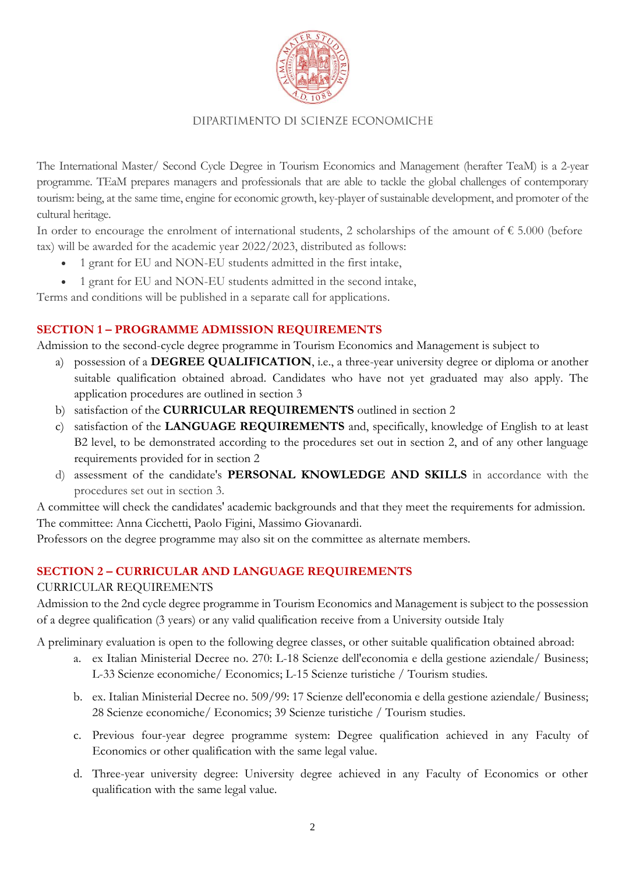

The International Master/ Second Cycle Degree in Tourism Economics and Management (herafter TeaM) is a 2-year programme. TEaM prepares managers and professionals that are able to tackle the global challenges of contemporary tourism: being, at the same time, engine for economic growth, key-player of sustainable development, and promoter of the cultural heritage.

In order to encourage the enrolment of international students, 2 scholarships of the amount of  $\epsilon$  5.000 (before tax) will be awarded for the academic year 2022/2023, distributed as follows:

- 1 grant for EU and NON-EU students admitted in the first intake,
- 1 grant for EU and NON-EU students admitted in the second intake,

Terms and conditions will be published in a separate call for applications.

#### <span id="page-1-0"></span>**SECTION 1 – PROGRAMME ADMISSION REQUIREMENTS**

Admission to the second-cycle degree programme in Tourism Economics and Management is subject to

- a) possession of a **DEGREE QUALIFICATION**, i.e., a three-year university degree or diploma or another suitable qualification obtained abroad. Candidates who have not yet graduated may also apply. The application procedures are outlined in section 3
- b) satisfaction of the **CURRICULAR REQUIREMENTS** outlined in section 2
- c) satisfaction of the **LANGUAGE REQUIREMENTS** and, specifically, knowledge of English to at least B2 level, to be demonstrated according to the procedures set out in section 2, and of any other language requirements provided for in section 2
- d) assessment of the candidate's **PERSONAL KNOWLEDGE AND SKILLS** in accordance with the procedures set out in section 3.

A committee will check the candidates' academic backgrounds and that they meet the requirements for admission. The committee: Anna Cicchetti, Paolo Figini, Massimo Giovanardi.

Professors on the degree programme may also sit on the committee as alternate members.

#### <span id="page-1-1"></span>**SECTION 2 – CURRICULAR AND LANGUAGE REQUIREMENTS**

#### CURRICULAR REQUIREMENTS

Admission to the 2nd cycle degree programme in Tourism Economics and Management is subject to the possession of a degree qualification (3 years) or any valid qualification receive from a University outside Italy

A preliminary evaluation is open to the following degree classes, or other suitable qualification obtained abroad:

- a. ex Italian Ministerial Decree no. 270: L-18 Scienze dell'economia e della gestione aziendale/ Business; L-33 Scienze economiche/ Economics; L-15 Scienze turistiche / Tourism studies.
- b. ex. Italian Ministerial Decree no. 509/99: 17 Scienze dell'economia e della gestione aziendale/ Business; 28 Scienze economiche/ Economics; 39 Scienze turistiche / Tourism studies.
- c. Previous four-year degree programme system: Degree qualification achieved in any Faculty of Economics or other qualification with the same legal value.
- d. Three-year university degree: University degree achieved in any Faculty of Economics or other qualification with the same legal value.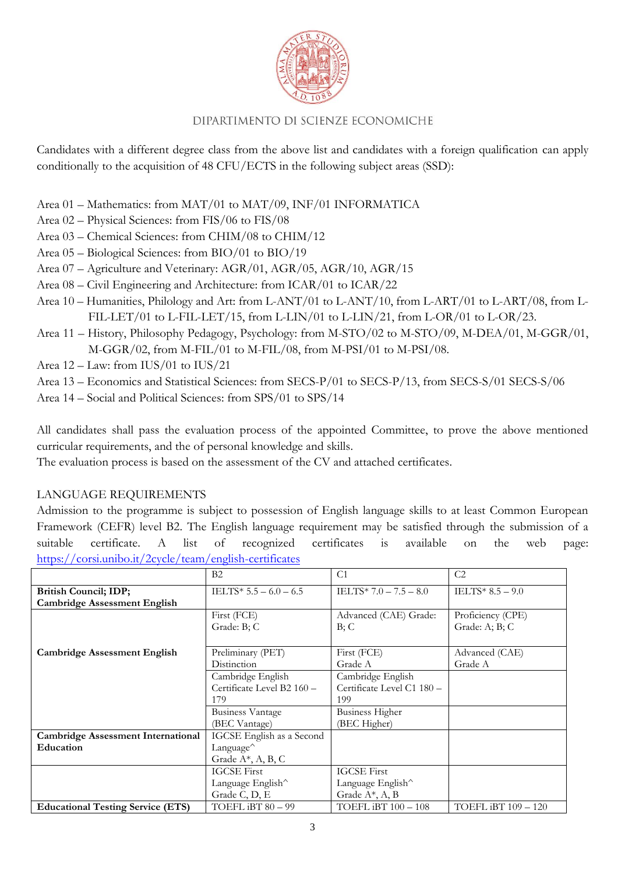

Candidates with a different degree class from the above list and candidates with a foreign qualification can apply conditionally to the acquisition of 48 CFU/ECTS in the following subject areas (SSD):

- Area 01 Mathematics: from MAT/01 to MAT/09, INF/01 INFORMATICA
- Area 02 Physical Sciences: from FIS/06 to FIS/08
- Area 03 Chemical Sciences: from CHIM/08 to CHIM/12
- Area 05 Biological Sciences: from BIO/01 to BIO/19
- Area 07 Agriculture and Veterinary: AGR/01, AGR/05, AGR/10, AGR/15
- Area 08 Civil Engineering and Architecture: from ICAR/01 to ICAR/22
- Area 10 Humanities, Philology and Art: from L-ANT/01 to L-ANT/10, from L-ART/01 to L-ART/08, from L-FIL-LET/01 to L-FIL-LET/15, from L-LIN/01 to L-LIN/21, from L-OR/01 to L-OR/23.
- Area 11 History, Philosophy Pedagogy, Psychology: from M-STO/02 to M-STO/09, M-DEA/01, M-GGR/01, M-GGR/02, from M-FIL/01 to M-FIL/08, from M-PSI/01 to M-PSI/08.
- Area 12 Law: from IUS/01 to IUS/21
- Area 13 Economics and Statistical Sciences: from SECS-P/01 to SECS-P/13, from SECS-S/01 SECS-S/06
- Area 14 Social and Political Sciences: from SPS/01 to SPS/14

All candidates shall pass the evaluation process of the appointed Committee, to prove the above mentioned curricular requirements, and the of personal knowledge and skills.

The evaluation process is based on the assessment of the CV and attached certificates.

#### LANGUAGE REQUIREMENTS

Admission to the programme is subject to possession of English language skills to at least Common European Framework (CEFR) level B2. The English language requirement may be satisfied through the submission of a suitable certificate. A list of recognized certificates is available on the web page: <https://corsi.unibo.it/2cycle/team/english-certificates>

|                                           | B2                                      | C <sub>1</sub>             | C <sub>2</sub>      |
|-------------------------------------------|-----------------------------------------|----------------------------|---------------------|
| <b>British Council; IDP;</b>              | IELTS* $5.5 - 6.0 - 6.5$                | IELTS* $7.0 - 7.5 - 8.0$   | IELTS* $8.5 - 9.0$  |
| <b>Cambridge Assessment English</b>       |                                         |                            |                     |
|                                           | First (FCE)                             | Advanced (CAE) Grade:      | Proficiency (CPE)   |
|                                           | Grade: B; C                             | B;C                        | Grade: A; B; C      |
|                                           |                                         |                            |                     |
| <b>Cambridge Assessment English</b>       | Preliminary (PET)                       | First (FCE)                | Advanced (CAE)      |
|                                           | Distinction                             | Grade A                    | Grade A             |
|                                           | Cambridge English                       | Cambridge English          |                     |
|                                           | Certificate Level B2 160 -              | Certificate Level C1 180 - |                     |
|                                           | 179                                     | 199                        |                     |
|                                           | <b>Business Vantage</b>                 | <b>Business Higher</b>     |                     |
|                                           | (BEC Vantage)                           | (BEC Higher)               |                     |
| <b>Cambridge Assessment International</b> | IGCSE English as a Second               |                            |                     |
| Education                                 | Language <sup><math>\hat{}</math></sup> |                            |                     |
|                                           | Grade A*, A, B, C                       |                            |                     |
|                                           | <b>IGCSE First</b>                      | <b>IGCSE First</b>         |                     |
|                                           | Language English^                       | Language English^          |                     |
|                                           | Grade C, D, E<br>Grade A*, A, B         |                            |                     |
| <b>Educational Testing Service (ETS)</b>  | TOEFL iBT 80 - 99                       | TOEFL iBT 100 - 108        | TOEFL iBT 109 - 120 |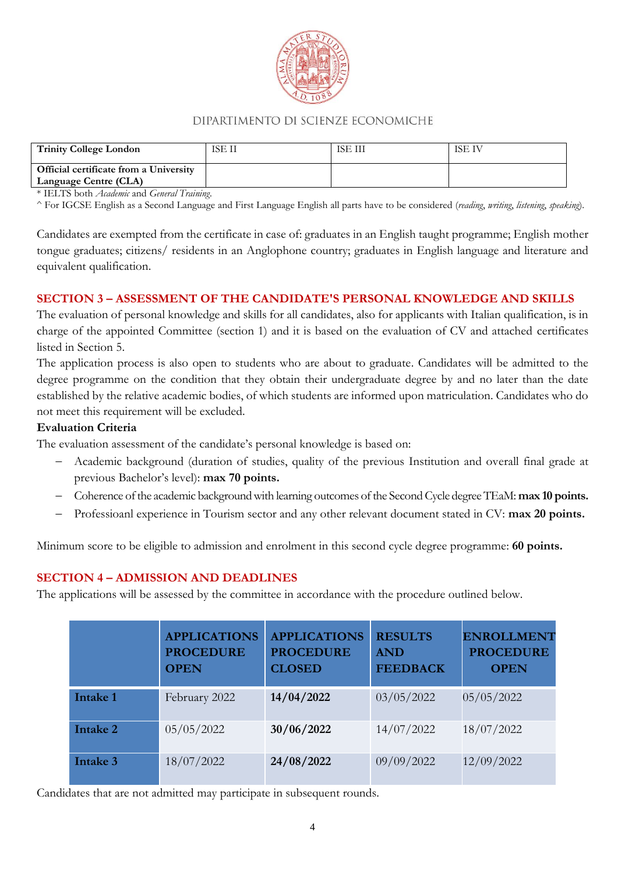

| <b>Trinity College London</b>                                   | ISE II | ISE III | <b>ISE IV</b> |
|-----------------------------------------------------------------|--------|---------|---------------|
| Official certificate from a University<br>Language Centre (CLA) |        |         |               |

\* IELTS both *Academic* and *General Training*.

^ For IGCSE English as a Second Language and First Language English all parts have to be considered (*reading*, *writing*, *listening*, *speaking*).

Candidates are exempted from the certificate in case of: graduates in an English taught programme; English mother tongue graduates; citizens/ residents in an Anglophone country; graduates in English language and literature and equivalent qualification.

#### <span id="page-3-0"></span>**SECTION 3 – ASSESSMENT OF THE CANDIDATE'S PERSONAL KNOWLEDGE AND SKILLS**

The evaluation of personal knowledge and skills for all candidates, also for applicants with Italian qualification, is in charge of the appointed Committee (section 1) and it is based on the evaluation of CV and attached certificates listed in Section 5.

The application process is also open to students who are about to graduate. Candidates will be admitted to the degree programme on the condition that they obtain their undergraduate degree by and no later than the date established by the relative academic bodies, of which students are informed upon matriculation. Candidates who do not meet this requirement will be excluded.

#### **Evaluation Criteria**

The evaluation assessment of the candidate's personal knowledge is based on:

- − Academic background (duration of studies, quality of the previous Institution and overall final grade at previous Bachelor's level): **max 70 points.**
- − Coherence of the academic background with learning outcomes of the Second Cycle degree TEaM: **max 10 points.**
- − Professioanl experience in Tourism sector and any other relevant document stated in CV: **max 20 points.**

Minimum score to be eligible to admission and enrolment in this second cycle degree programme: **60 points.**

#### <span id="page-3-1"></span>**SECTION 4 – ADMISSION AND DEADLINES**

The applications will be assessed by the committee in accordance with the procedure outlined below.

|                 | <b>APPLICATIONS</b><br><b>PROCEDURE</b><br><b>OPEN</b> | <b>APPLICATIONS</b><br><b>PROCEDURE</b><br><b>CLOSED</b> | <b>RESULTS</b><br><b>AND</b><br><b>FEEDBACK</b> | <b>ENROLLMENT</b><br><b>PROCEDURE</b><br><b>OPEN</b> |
|-----------------|--------------------------------------------------------|----------------------------------------------------------|-------------------------------------------------|------------------------------------------------------|
| <b>Intake 1</b> | February 2022                                          | 14/04/2022                                               | 03/05/2022                                      | 05/05/2022                                           |
| Intake 2        | 05/05/2022                                             | 30/06/2022                                               | 14/07/2022                                      | 18/07/2022                                           |
| Intake 3        | 18/07/2022                                             | 24/08/2022                                               | 09/09/2022                                      | 12/09/2022                                           |

Candidates that are not admitted may participate in subsequent rounds.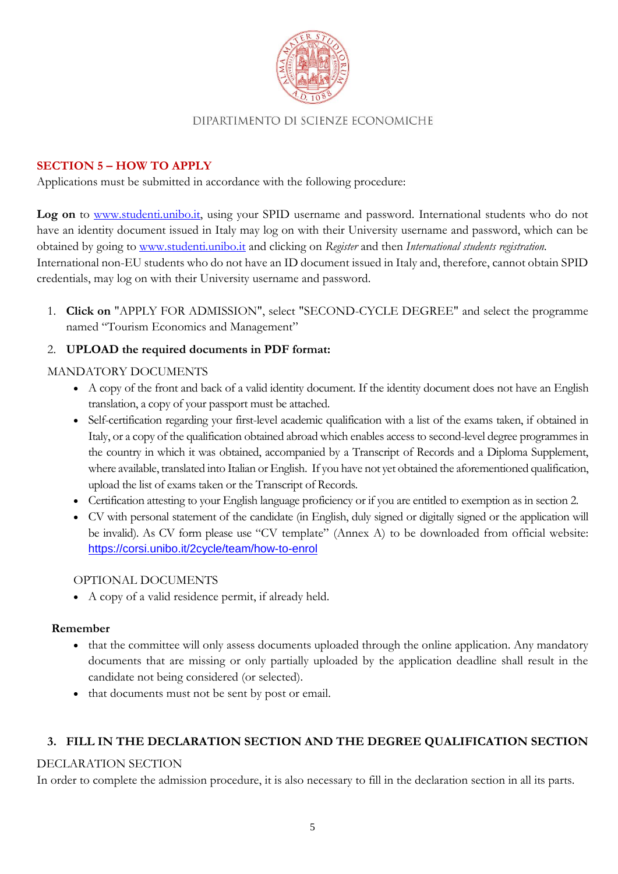

#### <span id="page-4-0"></span>**SECTION 5 – HOW TO APPLY**

Applications must be submitted in accordance with the following procedure:

Log on to [www.studenti.unibo.it,](http://www.studenti.unibo.it/) using your SPID username and password. International students who do not have an identity document issued in Italy may log on with their University username and password, which can be obtained by going to www.studenti.unibo.it and clicking on *Register* and then *International students registration.* International non-EU students who do not have an ID document issued in Italy and, therefore, cannot obtain SPID credentials, may log on with their University username and password.

1. **Click on** "APPLY FOR ADMISSION", select "SECOND-CYCLE DEGREE" and select the programme named "Tourism Economics and Management"

## 2. **UPLOAD the required documents in PDF format:**

#### MANDATORY DOCUMENTS

- A copy of the front and back of a valid identity document. If the identity document does not have an English translation, a copy of your passport must be attached.
- Self-certification regarding your first-level academic qualification with a list of the exams taken, if obtained in Italy, or a copy of the qualification obtained abroad which enables access to second-level degree programmes in the country in which it was obtained, accompanied by a Transcript of Records and a Diploma Supplement, where available, translated into Italian or English. If you have not yet obtained the aforementioned qualification, upload the list of exams taken or the Transcript of Records.
- Certification attesting to your English language proficiency or if you are entitled to exemption as in section 2.
- CV with personal statement of the candidate (in English, duly signed or digitally signed or the application will be invalid). As CV form please use "CV template" (Annex A) to be downloaded from official website: <https://corsi.unibo.it/2cycle/team/how-to-enrol>

#### OPTIONAL DOCUMENTS

• A copy of a valid residence permit, if already held.

#### **Remember**

- that the committee will only assess documents uploaded through the online application. Any mandatory documents that are missing or only partially uploaded by the application deadline shall result in the candidate not being considered (or selected).
- that documents must not be sent by post or email.

#### **3. FILL IN THE DECLARATION SECTION AND THE DEGREE QUALIFICATION SECTION**

#### DECLARATION SECTION

In order to complete the admission procedure, it is also necessary to fill in the declaration section in all its parts.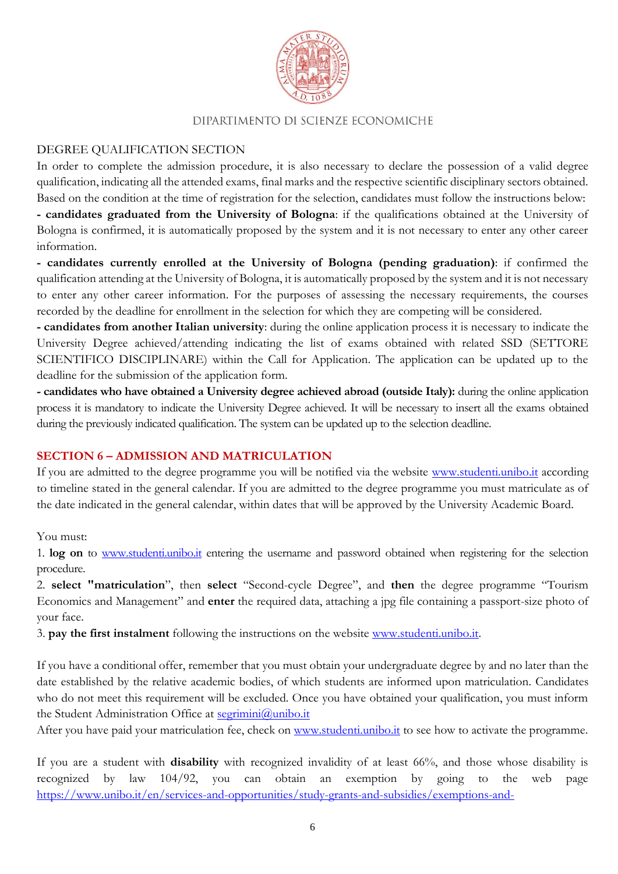

#### DEGREE QUALIFICATION SECTION

In order to complete the admission procedure, it is also necessary to declare the possession of a valid degree qualification, indicating all the attended exams, final marks and the respective scientific disciplinary sectors obtained. Based on the condition at the time of registration for the selection, candidates must follow the instructions below: **- candidates graduated from the University of Bologna**: if the qualifications obtained at the University of Bologna is confirmed, it is automatically proposed by the system and it is not necessary to enter any other career information.

**- candidates currently enrolled at the University of Bologna (pending graduation)**: if confirmed the qualification attending at the University of Bologna, it is automatically proposed by the system and it is not necessary to enter any other career information. For the purposes of assessing the necessary requirements, the courses recorded by the deadline for enrollment in the selection for which they are competing will be considered.

**- candidates from another Italian university**: during the online application process it is necessary to indicate the University Degree achieved/attending indicating the list of exams obtained with related SSD (SETTORE SCIENTIFICO DISCIPLINARE) within the Call for Application. The application can be updated up to the deadline for the submission of the application form.

**- candidates who have obtained a University degree achieved abroad (outside Italy):** during the online application process it is mandatory to indicate the University Degree achieved. It will be necessary to insert all the exams obtained during the previously indicated qualification. The system can be updated up to the selection deadline.

#### <span id="page-5-0"></span>**SECTION 6 – ADMISSION AND MATRICULATION**

If you are admitted to the degree programme you will be notified via the website [www.studenti.unibo.it](http://www.studenti.unibo.it/) according to timeline stated in the general calendar. If you are admitted to the degree programme you must matriculate as of the date indicated in the general calendar, within dates that will be approved by the University Academic Board.

You must:

1. **log on** to www.studenti.unibo.it entering the username and password obtained when registering for the selection procedure.

2. **select "matriculation**", then **select** "Second-cycle Degree", and **then** the degree programme "Tourism Economics and Management" and **enter** the required data, attaching a jpg file containing a passport-size photo of your face.

3. **pay the first instalment** following the instructions on the website [www.studenti.unibo.it.](http://www.studenti.unibo.it/)

If you have a conditional offer, remember that you must obtain your undergraduate degree by and no later than the date established by the relative academic bodies, of which students are informed upon matriculation. Candidates who do not meet this requirement will be excluded. Once you have obtained your qualification, you must inform the Student Administration Office at [segrimini@unibo.it](mailto:segrimini@unibo.it)

After you have paid your matriculation fee, check on [www.studenti.unibo.it](http://www.studenti.unibo.it/) to see how to activate the programme.

If you are a student with **disability** with recognized invalidity of at least 66%, and those whose disability is recognized by law 104/92, you can obtain an exemption by going to the web page [https://www.unibo.it/en/services-and-opportunities/study-grants-and-subsidies/exemptions-and-](https://www.unibo.it/en/services-and-opportunities/study-grants-and-subsidies/exemptions-and-incentives/exemptions-for-disabled-students)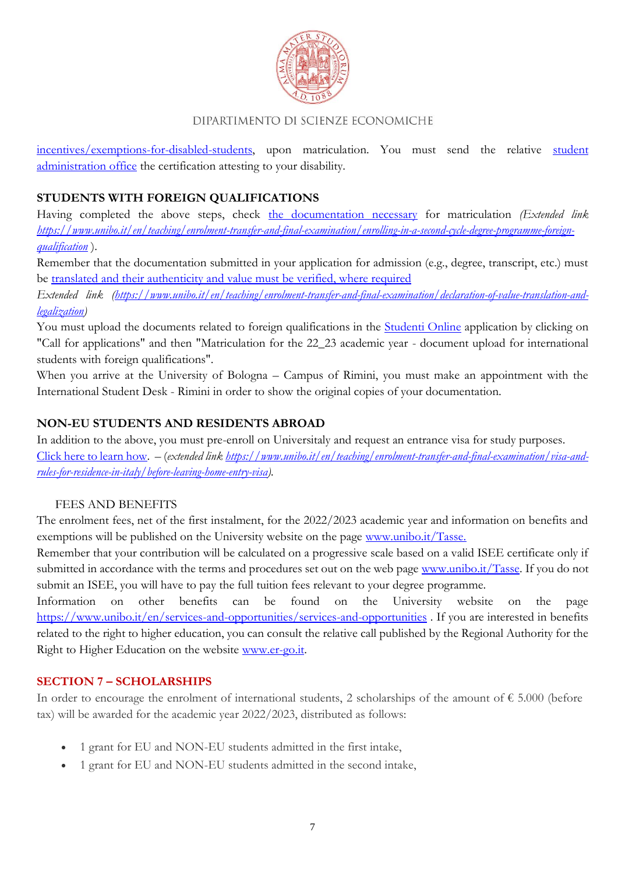

[incentives/exemptions-for-disabled-students,](https://www.unibo.it/en/services-and-opportunities/study-grants-and-subsidies/exemptions-and-incentives/exemptions-for-disabled-students) upon matriculation. You must send the relative student [administration office](https://www.unibo.it/en/teaching/enrolment-transfer-and-final-examination/student-administration-office) the certification attesting to your disability.

# **STUDENTS WITH FOREIGN QUALIFICATIONS**

Having completed the above steps, check [the documentation necessary](https://www.unibo.it/en/teaching/enrolment-transfer-and-final-examination/enrolling-in-a-second-cycle-degree-programme-foreign-qualification) for matriculation *(Extended link [https://www.unibo.it/en/teaching/enrolment-transfer-and-final-examination/enrolling-in-a-second-cycle-degree-programme-foreign](https://www.unibo.it/en/teaching/enrolment-transfer-and-final-examination/enrolling-in-a-second-cycle-degree-programme-foreign-qualification)[qualification](https://www.unibo.it/en/teaching/enrolment-transfer-and-final-examination/enrolling-in-a-second-cycle-degree-programme-foreign-qualification)* ).

Remember that the documentation submitted in your application for admission (e.g., degree, transcript, etc.) must be [translated and their authenticity and value must be verified, where required](https://www.unibo.it/en/teaching/enrolment-transfer-and-final-examination/declaration-of-value-translation-and-legalization)

*Extended link [\(https://www.unibo.it/en/teaching/enrolment-transfer-and-final-examination/declaration-of-value-translation-and](https://www.unibo.it/en/teaching/enrolment-transfer-and-final-examination/declaration-of-value-translation-and-legalization)[legalization\)](https://www.unibo.it/en/teaching/enrolment-transfer-and-final-examination/declaration-of-value-translation-and-legalization)*

You must upload the documents related to foreign qualifications in the [Studenti Online](https://studenti.unibo.it/sol/welcome.htm?siteLanguage=en) application by clicking on "Call for applications" and then "Matriculation for the 22\_23 academic year - document upload for international students with foreign qualifications".

When you arrive at the University of Bologna – Campus of Rimini, you must make an appointment with the International Student Desk - Rimini in order to show the original copies of your documentation.

## **NON-EU STUDENTS AND RESIDENTS ABROAD**

In addition to the above, you must pre-enroll on Universitaly and request an entrance visa for study purposes. [Click here to learn](https://www.unibo.it/en/teaching/enrolment-transfer-and-final-examination/visa-and-rules-for-residence-in-italy/before-leaving-home-entry-visa) how. – (*extended link [https://www.unibo.it/en/teaching/enrolment-transfer-and-final-examination/visa-and](https://www.unibo.it/en/teaching/enrolment-transfer-and-final-examination/visa-and-rules-for-residence-in-italy/before-leaving-home-entry-visa)[rules-for-residence-in-italy/before-leaving-home-entry-visa\)](https://www.unibo.it/en/teaching/enrolment-transfer-and-final-examination/visa-and-rules-for-residence-in-italy/before-leaving-home-entry-visa).*

#### FEES AND BENEFITS

<span id="page-6-0"></span>The enrolment fees, net of the first instalment, for the 2022/2023 academic year and information on benefits and exemptions will be published on the University website on the page [www.unibo.it/Tasse.](http://www.unibo.it/Tasse)

Remember that your contribution will be calculated on a progressive scale based on a valid ISEE certificate only if submitted in accordance with the terms and procedures set out on the web page [www.unibo.it/Tasse.](http://www.unibo.it/Tasse) If you do not submit an ISEE, you will have to pay the full tuition fees relevant to your degree programme.

Information on other benefits can be found on the University website on the page <https://www.unibo.it/en/services-and-opportunities/services-and-opportunities> . If you are interested in benefits related to the right to higher education, you can consult the relative call published by the Regional Authority for the Right to Higher Education on the website [www.er-go.it.](http://www.er-go.it/)

# <span id="page-6-1"></span>**SECTION 7 – SCHOLARSHIPS**

In order to encourage the enrolment of international students, 2 scholarships of the amount of  $\epsilon$  5.000 (before tax) will be awarded for the academic year 2022/2023, distributed as follows:

- 1 grant for EU and NON-EU students admitted in the first intake,
- 1 grant for EU and NON-EU students admitted in the second intake,